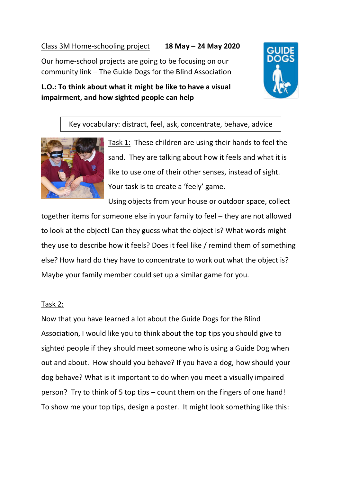## Class 3M Home-schooling project **18 May – 24 May 2020**

Our home-school projects are going to be focusing on our community link – The Guide Dogs for the Blind Association

## **L.O.: To think about what it might be like to have a visual impairment, and how sighted people can help**



## Key vocabulary: distract, feel, ask, concentrate, behave, advice



Task 1: These children are using their hands to feel the sand. They are talking about how it feels and what it is like to use one of their other senses, instead of sight. Your task is to create a 'feely' game.

Using objects from your house or outdoor space, collect together items for someone else in your family to feel – they are not allowed to look at the object! Can they guess what the object is? What words might they use to describe how it feels? Does it feel like / remind them of something else? How hard do they have to concentrate to work out what the object is? Maybe your family member could set up a similar game for you.

## Task 2:

Now that you have learned a lot about the Guide Dogs for the Blind Association, I would like you to think about the top tips you should give to sighted people if they should meet someone who is using a Guide Dog when out and about. How should you behave? If you have a dog, how should your dog behave? What is it important to do when you meet a visually impaired person? Try to think of 5 top tips – count them on the fingers of one hand! To show me your top tips, design a poster. It might look something like this: